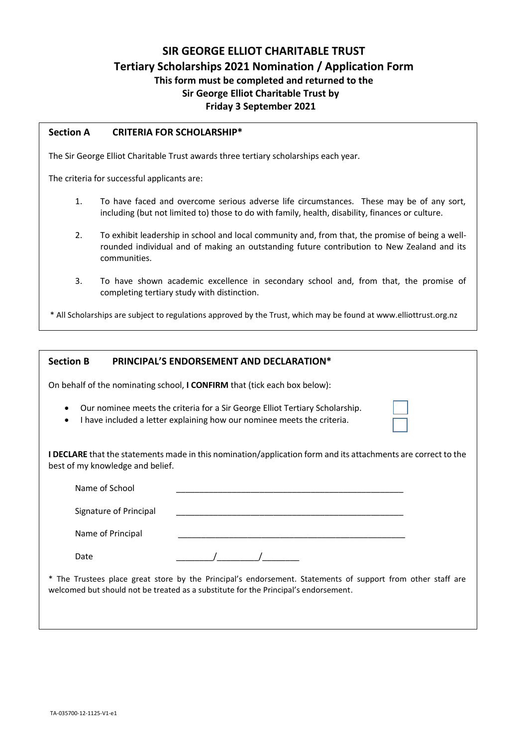# **SIR GEORGE ELLIOT CHARITABLE TRUST Tertiary Scholarships 2021 Nomination / Application Form This form must be completed and returned to the Sir George Elliot Charitable Trust by Friday 3 September 2021**

### **Section A CRITERIA FOR SCHOLARSHIP\***

The Sir George Elliot Charitable Trust awards three tertiary scholarships each year.

The criteria for successful applicants are:

- 1. To have faced and overcome serious adverse life circumstances. These may be of any sort, including (but not limited to) those to do with family, health, disability, finances or culture.
- 2. To exhibit leadership in school and local community and, from that, the promise of being a wellrounded individual and of making an outstanding future contribution to New Zealand and its communities.
- 3. To have shown academic excellence in secondary school and, from that, the promise of completing tertiary study with distinction.

\* All Scholarships are subject to regulations approved by the Trust, which may be found at www.elliottrust.org.nz

| <b>Section B</b>                 | PRINCIPAL'S ENDORSEMENT AND DECLARATION*                                                                                                                                                           |  |  |  |  |
|----------------------------------|----------------------------------------------------------------------------------------------------------------------------------------------------------------------------------------------------|--|--|--|--|
|                                  | On behalf of the nominating school, I CONFIRM that (tick each box below):                                                                                                                          |  |  |  |  |
| $\bullet$<br>٠                   | Our nominee meets the criteria for a Sir George Elliot Tertiary Scholarship.<br>I have included a letter explaining how our nominee meets the criteria.                                            |  |  |  |  |
| best of my knowledge and belief. | <b>I DECLARE</b> that the statements made in this nomination/application form and its attachments are correct to the                                                                               |  |  |  |  |
| Name of School                   |                                                                                                                                                                                                    |  |  |  |  |
| Signature of Principal           |                                                                                                                                                                                                    |  |  |  |  |
| Name of Principal                |                                                                                                                                                                                                    |  |  |  |  |
| Date                             |                                                                                                                                                                                                    |  |  |  |  |
|                                  | * The Trustees place great store by the Principal's endorsement. Statements of support from other staff are<br>welcomed but should not be treated as a substitute for the Principal's endorsement. |  |  |  |  |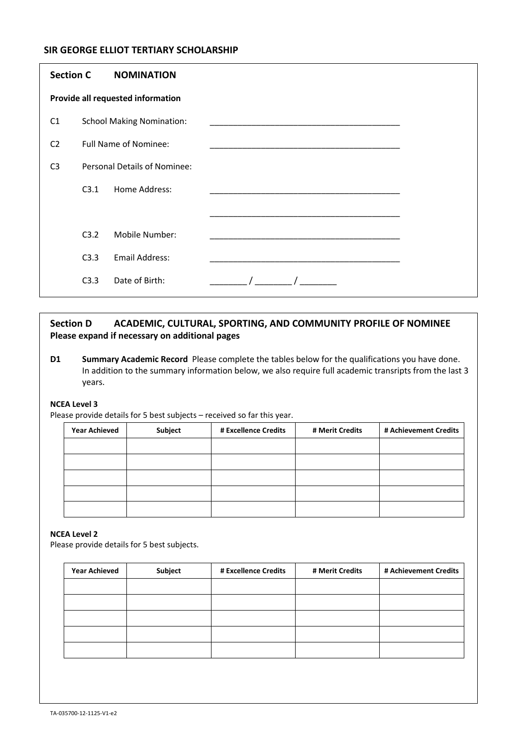## **SIR GEORGE ELLIOT TERTIARY SCHOLARSHIP**

| <b>Section C</b>                  |                                  | <b>NOMINATION</b>            |  |  |
|-----------------------------------|----------------------------------|------------------------------|--|--|
| Provide all requested information |                                  |                              |  |  |
| C1                                | <b>School Making Nomination:</b> |                              |  |  |
| C <sub>2</sub>                    | <b>Full Name of Nominee:</b>     |                              |  |  |
| C <sub>3</sub>                    |                                  | Personal Details of Nominee: |  |  |
|                                   | C3.1                             | Home Address:                |  |  |
|                                   |                                  |                              |  |  |
|                                   | C3.2                             | Mobile Number:               |  |  |
|                                   | C3.3                             | <b>Email Address:</b>        |  |  |
|                                   | C3.3                             | Date of Birth:               |  |  |

# **Section D ACADEMIC, CULTURAL, SPORTING, AND COMMUNITY PROFILE OF NOMINEE Please expand if necessary on additional pages**

**D1 Summary Academic Record** Please complete the tables below for the qualifications you have done. In addition to the summary information below, we also require full academic transripts from the last 3 years.

### **NCEA Level 3**

Please provide details for 5 best subjects – received so far this year.

| <b>Year Achieved</b> | Subject | # Excellence Credits | # Merit Credits | # Achievement Credits |
|----------------------|---------|----------------------|-----------------|-----------------------|
|                      |         |                      |                 |                       |
|                      |         |                      |                 |                       |
|                      |         |                      |                 |                       |
|                      |         |                      |                 |                       |
|                      |         |                      |                 |                       |

### **NCEA Level 2**

Please provide details for 5 best subjects.

| <b>Year Achieved</b> | Subject | # Excellence Credits | # Merit Credits | # Achievement Credits |
|----------------------|---------|----------------------|-----------------|-----------------------|
|                      |         |                      |                 |                       |
|                      |         |                      |                 |                       |
|                      |         |                      |                 |                       |
|                      |         |                      |                 |                       |
|                      |         |                      |                 |                       |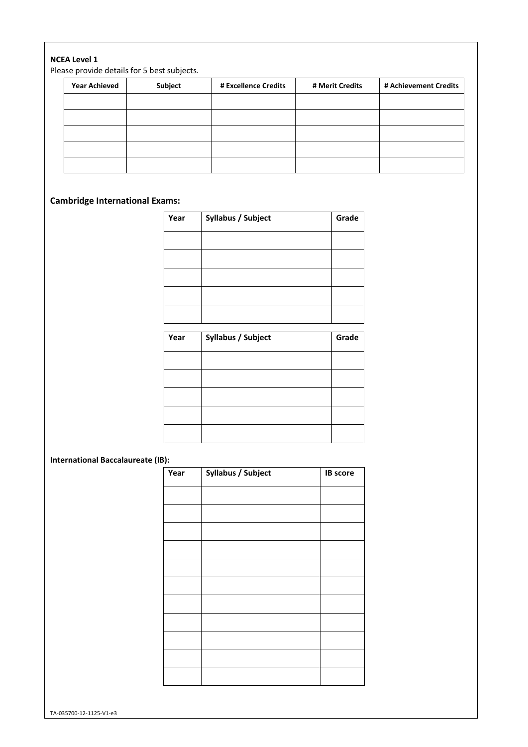#### **NCEA Level 1**

Please provide details for 5 best subjects.

| <b>Year Achieved</b> | Subject | # Excellence Credits | # Merit Credits | # Achievement Credits |
|----------------------|---------|----------------------|-----------------|-----------------------|
|                      |         |                      |                 |                       |
|                      |         |                      |                 |                       |
|                      |         |                      |                 |                       |
|                      |         |                      |                 |                       |
|                      |         |                      |                 |                       |

# **Cambridge International Exams:**

| Year | Syllabus / Subject | Grade |
|------|--------------------|-------|
|      |                    |       |
|      |                    |       |
|      |                    |       |
|      |                    |       |
|      |                    |       |

| Year | Syllabus / Subject | Grade |
|------|--------------------|-------|
|      |                    |       |
|      |                    |       |
|      |                    |       |
|      |                    |       |
|      |                    |       |

## **International Baccalaureate (IB):**

| Year | Syllabus / Subject | <b>IB</b> score |
|------|--------------------|-----------------|
|      |                    |                 |
|      |                    |                 |
|      |                    |                 |
|      |                    |                 |
|      |                    |                 |
|      |                    |                 |
|      |                    |                 |
|      |                    |                 |
|      |                    |                 |
|      |                    |                 |
|      |                    |                 |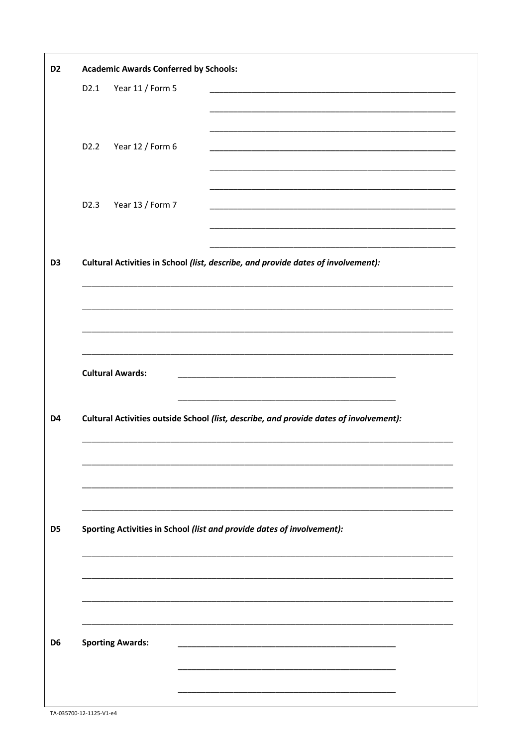| D <sub>2</sub> | <b>Academic Awards Conferred by Schools:</b> |                         |                                                                                           |
|----------------|----------------------------------------------|-------------------------|-------------------------------------------------------------------------------------------|
|                | D2.1                                         | Year 11 / Form 5        |                                                                                           |
|                |                                              |                         |                                                                                           |
|                |                                              |                         |                                                                                           |
|                | D <sub>2</sub> .2                            | Year 12 / Form 6        |                                                                                           |
|                |                                              |                         |                                                                                           |
|                | D <sub>2.3</sub>                             | Year 13 / Form 7        |                                                                                           |
|                |                                              |                         |                                                                                           |
|                |                                              |                         |                                                                                           |
| D <sub>3</sub> |                                              |                         | Cultural Activities in School (list, describe, and provide dates of involvement):         |
|                |                                              |                         |                                                                                           |
|                |                                              |                         |                                                                                           |
|                |                                              |                         |                                                                                           |
|                |                                              |                         |                                                                                           |
|                |                                              | <b>Cultural Awards:</b> |                                                                                           |
|                |                                              |                         |                                                                                           |
| D4             |                                              |                         | Cultural Activities outside School (list, describe, and provide dates of involvement):    |
|                |                                              |                         |                                                                                           |
|                |                                              |                         |                                                                                           |
|                |                                              |                         |                                                                                           |
|                |                                              |                         |                                                                                           |
|                |                                              |                         |                                                                                           |
| D <sub>5</sub> |                                              |                         | Sporting Activities in School (list and provide dates of involvement):                    |
|                |                                              |                         |                                                                                           |
|                |                                              |                         |                                                                                           |
|                |                                              |                         |                                                                                           |
|                |                                              |                         |                                                                                           |
| D <sub>6</sub> |                                              | <b>Sporting Awards:</b> | the control of the control of the control of the control of the control of the control of |
|                |                                              |                         |                                                                                           |
|                |                                              |                         |                                                                                           |
|                |                                              |                         |                                                                                           |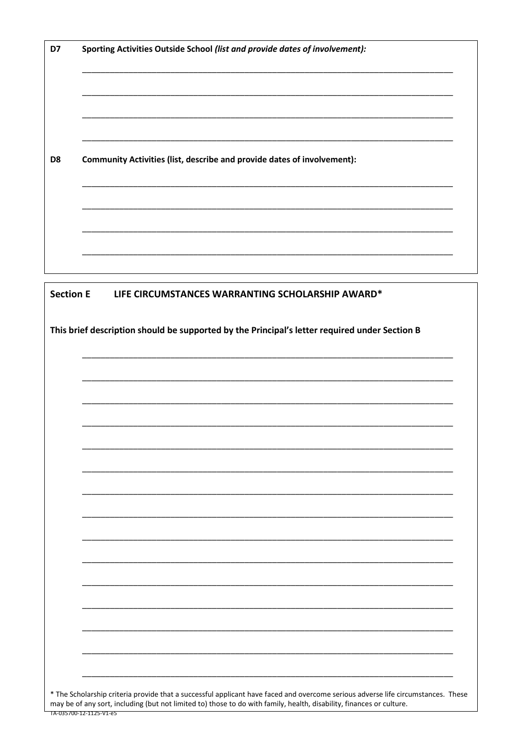| Community Activities (list, describe and provide dates of involvement):<br>D <sub>8</sub>     | Sporting Activities Outside School (list and provide dates of involvement): |
|-----------------------------------------------------------------------------------------------|-----------------------------------------------------------------------------|
|                                                                                               |                                                                             |
|                                                                                               |                                                                             |
|                                                                                               |                                                                             |
| <b>Section E</b><br>LIFE CIRCUMSTANCES WARRANTING SCHOLARSHIP AWARD*                          |                                                                             |
| This brief description should be supported by the Principal's letter required under Section B |                                                                             |

\* The Scholarship criteria provide that a successful applicant have faced and overcome serious adverse life circumstances. These may be of any sort, including (but not limited to) those to do with family, health, disabilit TA-035700-12-1125-V1-e5